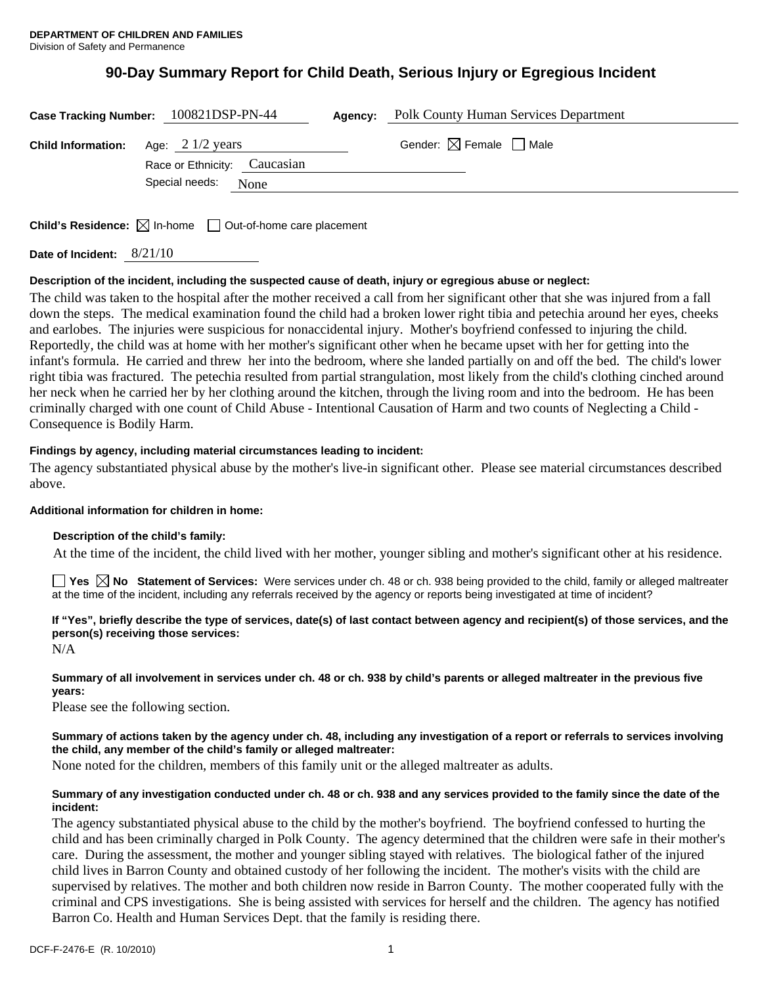# **90-Day Summary Report for Child Death, Serious Injury or Egregious Incident**

|                                                      | Case Tracking Number: 100821DSP-PN-44 | Agency: | <b>Polk County Human Services Department</b> |
|------------------------------------------------------|---------------------------------------|---------|----------------------------------------------|
| <b>Child Information:</b> Age: $2 \frac{1}{2}$ years | Race or Ethnicity: Caucasian          |         | Gender: $\boxtimes$ Female $\Box$ Male       |
|                                                      | Special needs:<br>None                |         |                                              |

**Child's Residence:**  $\boxtimes$  In-home  $\Box$  Out-of-home care placement

**Date of Incident:** 8/21/10

## **Description of the incident, including the suspected cause of death, injury or egregious abuse or neglect:**

The child was taken to the hospital after the mother received a call from her significant other that she was injured from a fall down the steps. The medical examination found the child had a broken lower right tibia and petechia around her eyes, cheeks and earlobes. The injuries were suspicious for nonaccidental injury. Mother's boyfriend confessed to injuring the child. Reportedly, the child was at home with her mother's significant other when he became upset with her for getting into the infant's formula. He carried and threw her into the bedroom, where she landed partially on and off the bed. The child's lower right tibia was fractured. The petechia resulted from partial strangulation, most likely from the child's clothing cinched around her neck when he carried her by her clothing around the kitchen, through the living room and into the bedroom. He has been criminally charged with one count of Child Abuse - Intentional Causation of Harm and two counts of Neglecting a Child - Consequence is Bodily Harm.

## **Findings by agency, including material circumstances leading to incident:**

The agency substantiated physical abuse by the mother's live-in significant other. Please see material circumstances described above.

## **Additional information for children in home:**

## **Description of the child's family:**

At the time of the incident, the child lived with her mother, younger sibling and mother's significant other at his residence.

**Yes**  $\boxtimes$  **No** Statement of Services: Were services under ch. 48 or ch. 938 being provided to the child, family or alleged maltreater at the time of the incident, including any referrals received by the agency or reports being investigated at time of incident?

# **If "Yes", briefly describe the type of services, date(s) of last contact between agency and recipient(s) of those services, and the person(s) receiving those services:**

N/A

## **Summary of all involvement in services under ch. 48 or ch. 938 by child's parents or alleged maltreater in the previous five years:**

Please see the following section.

# **Summary of actions taken by the agency under ch. 48, including any investigation of a report or referrals to services involving the child, any member of the child's family or alleged maltreater:**

None noted for the children, members of this family unit or the alleged maltreater as adults.

## **Summary of any investigation conducted under ch. 48 or ch. 938 and any services provided to the family since the date of the incident:**

The agency substantiated physical abuse to the child by the mother's boyfriend. The boyfriend confessed to hurting the child and has been criminally charged in Polk County. The agency determined that the children were safe in their mother's care. During the assessment, the mother and younger sibling stayed with relatives. The biological father of the injured child lives in Barron County and obtained custody of her following the incident. The mother's visits with the child are supervised by relatives. The mother and both children now reside in Barron County. The mother cooperated fully with the criminal and CPS investigations. She is being assisted with services for herself and the children. The agency has notified Barron Co. Health and Human Services Dept. that the family is residing there.